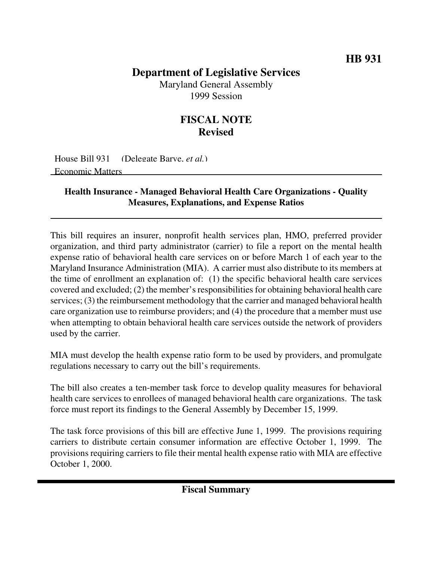## **Department of Legislative Services**

Maryland General Assembly 1999 Session

## **FISCAL NOTE Revised**

House Bill 931 (Delegate Barve, *et al.*) Economic Matters

## **Health Insurance - Managed Behavioral Health Care Organizations - Quality Measures, Explanations, and Expense Ratios**

This bill requires an insurer, nonprofit health services plan, HMO, preferred provider organization, and third party administrator (carrier) to file a report on the mental health expense ratio of behavioral health care services on or before March 1 of each year to the Maryland Insurance Administration (MIA). A carrier must also distribute to its members at the time of enrollment an explanation of: (1) the specific behavioral health care services covered and excluded; (2) the member's responsibilities for obtaining behavioral health care services; (3) the reimbursement methodology that the carrier and managed behavioral health care organization use to reimburse providers; and (4) the procedure that a member must use when attempting to obtain behavioral health care services outside the network of providers used by the carrier.

MIA must develop the health expense ratio form to be used by providers, and promulgate regulations necessary to carry out the bill's requirements.

The bill also creates a ten-member task force to develop quality measures for behavioral health care services to enrollees of managed behavioral health care organizations. The task force must report its findings to the General Assembly by December 15, 1999.

The task force provisions of this bill are effective June 1, 1999. The provisions requiring carriers to distribute certain consumer information are effective October 1, 1999. The provisions requiring carriers to file their mental health expense ratio with MIA are effective October 1, 2000.